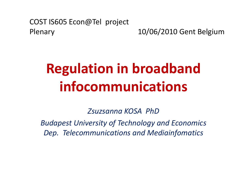#### COST IS605 Econ@Tel project Plenary 10/06/2010 Gent Belgium

# **Regulation in broadband infocommunications**

*Zsuzsanna KOSA PhD*

*Budapest University of Technology and Economics Dep. Telecommunications and Mediainfomatics*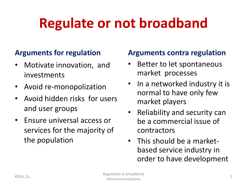# **Regulate or not broadband**

#### **Arguments for regulation**

- Motivate innovation, and investments
- Avoid re-monopolization
- Avoid hidden risks for users and user groups
- Ensure universal access or services for the majority of the population

#### **Arguments contra regulation**

- Better to let spontaneous market processes
- In a networked industry it is normal to have only few market players
- Reliability and security can be a commercial issue of contractors
- This should be a marketbased service industry in order to have development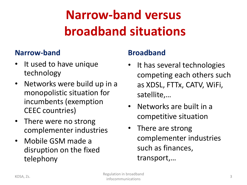### **Narrow-band versus broadband situations**

#### **Narrow-band**

- It used to have unique technology
- Networks were build up in a monopolistic situation for incumbents (exemption CEEC countries)
- There were no strong complementer industries
- Mobile GSM made a disruption on the fixed telephony

### **Broadband**

- It has several technologies competing each others such as XDSL, FTTx, CATV, WiFi, satellite,…
- Networks are built in a competitive situation
- There are strong complementer industries such as finances, transport,…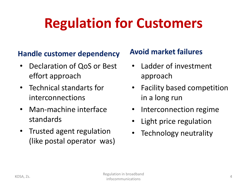## **Regulation for Customers**

#### **Handle customer dependency**

- Declaration of QoS or Best effort approach
- Technical standarts for interconnections
- Man-machine interface standards
- Trusted agent regulation (like postal operator was)

### **Avoid market failures**

- Ladder of investment approach
- Facility based competition in a long run
- Interconnection regime
- Light price regulation
- Technology neutrality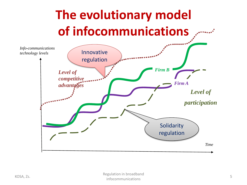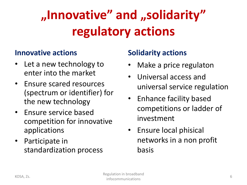## **"Innovative" and "solidarity" regulatory actions**

#### **Innovative actions**

- Let a new technology to enter into the market
- Ensure scared resources (spectrum or identifier) for the new technology
- Ensure service based competition for innovative applications
- Participate in standardization process

### **Solidarity actions**

- Make a price regulaton
- Universal access and universal service regulation
- Enhance facility based competitions or ladder of investment
- Ensure local phisical networks in a non profit basis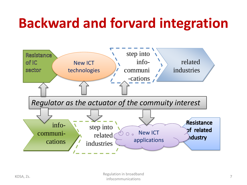## **Backward and forvard integration**

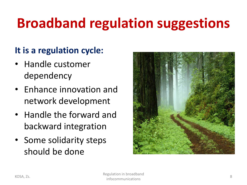# **Broadband regulation suggestions**

### **It is a regulation cycle:**

- Handle customer dependency
- Enhance innovation and network development
- Handle the forward and backward integration
- Some solidarity steps should be done